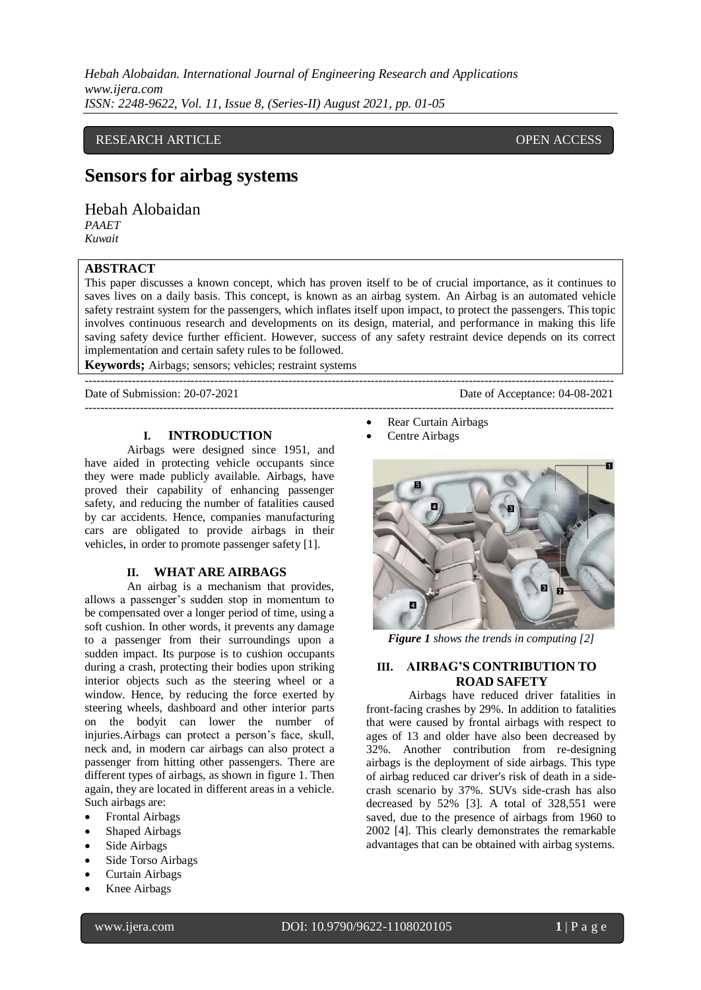*Hebah Alobaidan. International Journal of Engineering Research and Applications www.ijera.com ISSN: 2248-9622, Vol. 11, Issue 8, (Series-II) August 2021, pp. 01-05*

## RESEARCH ARTICLE **CONSERVERS** OPEN ACCESS

## **Sensors for airbag systems**

Hebah Alobaidan *PAAET*

*Kuwait*

## **ABSTRACT**

This paper discusses a known concept, which has proven itself to be of crucial importance, as it continues to saves lives on a daily basis. This concept, is known as an airbag system. An Airbag is an automated vehicle safety restraint system for the passengers, which inflates itself upon impact, to protect the passengers. This topic involves continuous research and developments on its design, material, and performance in making this life saving safety device further efficient. However, success of any safety restraint device depends on its correct implementation and certain safety rules to be followed.

---------------------------------------------------------------------------------------------------------------------------------------

**Keywords;** Airbags; sensors; vehicles; restraint systems ---------------------------------------------------------------------------------------------------------------------------------------

Date of Submission: 20-07-2021 Date of Acceptance: 04-08-2021

**I. INTRODUCTION**

Airbags were designed since 1951, and have aided in protecting vehicle occupants since they were made publicly available. Airbags, have proved their capability of enhancing passenger safety, and reducing the number of fatalities caused by car accidents. Hence, companies manufacturing cars are obligated to provide airbags in their vehicles, in order to promote passenger safety [1].

#### **II. WHAT ARE AIRBAGS**

An airbag is a mechanism that provides, allows a passenger's sudden stop in momentum to be compensated over a longer period of time, using a soft cushion. In other words, it prevents any damage to a passenger from their surroundings upon a sudden impact. Its purpose is to cushion occupants during a crash, protecting their bodies upon striking interior objects such as the steering wheel or a window. Hence, by reducing the force exerted by steering wheels, dashboard and other interior parts on the bodyit can lower the number of injuries.Airbags can protect a person's face, skull, neck and, in modern car airbags can also protect a passenger from hitting other passengers. There are different types of airbags, as shown in figure 1. Then again, they are located in different areas in a vehicle. Such airbags are:

- Frontal Airbags
- Shaped Airbags
- Side Airbags
- Side Torso Airbags
- Curtain Airbags
- Knee Airbags
- Rear Curtain Airbags
- Centre Airbags



*Figure 1 shows the trends in computing [2]*

#### **III. AIRBAG'S CONTRIBUTION TO ROAD SAFETY**

Airbags have reduced driver fatalities in front-facing crashes by 29%. In addition to fatalities that were caused by frontal airbags with respect to ages of 13 and older have also been decreased by 32%. Another contribution from re-designing airbags is the deployment of side airbags. This type of airbag reduced car driver's risk of death in a sidecrash scenario by 37%. SUVs side-crash has also decreased by 52% [3]. A total of 328,551 were saved, due to the presence of airbags from 1960 to 2002 [4]. This clearly demonstrates the remarkable advantages that can be obtained with airbag systems.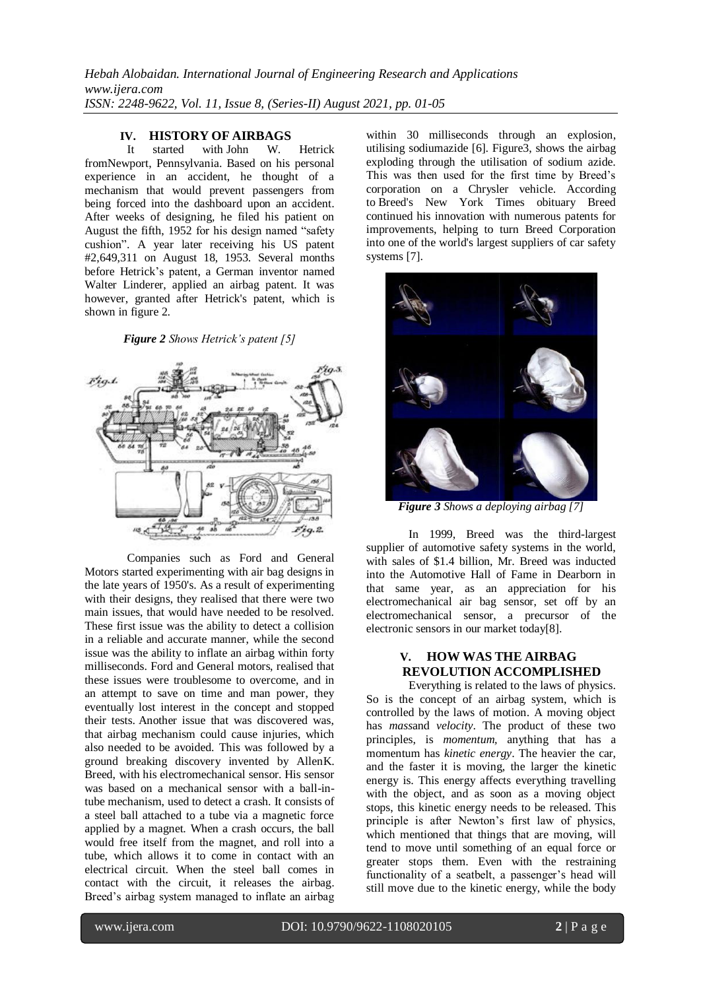# **IV. HISTORY OF AIRBAGS**

with John W. Hetrick fromNewport, Pennsylvania. Based on his personal experience in an accident, he thought of a mechanism that would prevent passengers from being forced into the dashboard upon an accident. After weeks of designing, he filed his patient on August the fifth, 1952 for his design named "safety cushion". A year later receiving his US patent #2,649,311 on August 18, 1953. Several months before Hetrick's patent, a German inventor named Walter Linderer, applied an airbag patent. It was however, granted after Hetrick's patent, which is shown in figure 2.

#### *Figure 2 Shows Hetrick's patent [5]*



Companies such as Ford and General Motors started experimenting with air bag designs in the late years of 1950's. As a result of experimenting with their designs, they realised that there were two main issues, that would have needed to be resolved. These first issue was the ability to detect a collision in a reliable and accurate manner, while the second issue was the ability to inflate an airbag within forty milliseconds. Ford and General motors, realised that these issues were troublesome to overcome, and in an attempt to save on time and man power, they eventually lost interest in the concept and stopped their tests. Another issue that was discovered was, that airbag mechanism could cause injuries, which also needed to be avoided. This was followed by a ground breaking discovery invented by AllenK. Breed, with his electromechanical sensor. His sensor was based on a mechanical sensor with a ball-intube mechanism, used to detect a crash. It consists of a steel ball attached to a tube via a magnetic force applied by a magnet. When a crash occurs, the ball would free itself from the magnet, and roll into a tube, which allows it to come in contact with an electrical circuit. When the steel ball comes in contact with the circuit, it releases the airbag. Breed's airbag system managed to inflate an airbag

within 30 milliseconds through an explosion, utilising sodiumazide [6]. Figure3, shows the airbag exploding through the utilisation of sodium azide. This was then used for the first time by Breed's corporation on a Chrysler vehicle. According to Breed's New York Times obituary Breed continued his innovation with numerous patents for improvements, helping to turn Breed Corporation into one of the world's largest suppliers of car safety systems [7].



*Figure 3 Shows a deploying airbag [7]*

In 1999, Breed was the third-largest supplier of automotive safety systems in the world, with sales of \$1.4 billion, Mr. Breed was inducted into the Automotive Hall of Fame in Dearborn in that same year, as an appreciation for his electromechanical air bag sensor, set off by an electromechanical sensor, a precursor of the electronic sensors in our market today[8].

## **V. HOW WAS THE AIRBAG REVOLUTION ACCOMPLISHED**

Everything is related to the laws of physics. So is the concept of an airbag system, which is controlled by the laws of motion. A moving object has *mass*and *velocity*. The product of these two principles, is *momentum,* anything that has a momentum has *kinetic energy*. The heavier the car, and the faster it is moving, the larger the kinetic energy is. This energy affects everything travelling with the object, and as soon as a moving object stops, this kinetic energy needs to be released. This principle is after Newton's first law of physics, which mentioned that things that are moving, will tend to move until something of an equal force or greater stops them. Even with the restraining functionality of a seatbelt, a passenger's head will still move due to the kinetic energy, while the body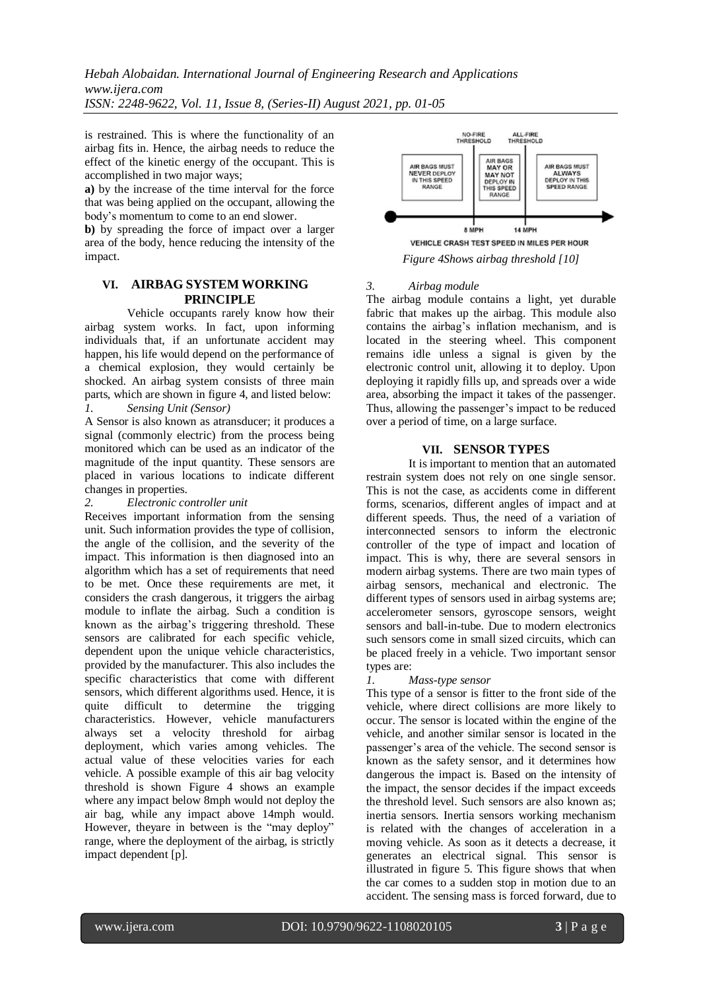*Hebah Alobaidan. International Journal of Engineering Research and Applications www.ijera.com*

*ISSN: 2248-9622, Vol. 11, Issue 8, (Series-II) August 2021, pp. 01-05*

is restrained. This is where the functionality of an airbag fits in. Hence, the airbag needs to reduce the effect of the kinetic energy of the occupant. This is accomplished in two major ways;

**a)** by the increase of the time interval for the force that was being applied on the occupant, allowing the body's momentum to come to an end slower.

**b**) by spreading the force of impact over a larger area of the body, hence reducing the intensity of the impact.

## **VI. AIRBAG SYSTEM WORKING PRINCIPLE**

Vehicle occupants rarely know how their airbag system works. In fact, upon informing individuals that, if an unfortunate accident may happen, his life would depend on the performance of a chemical explosion, they would certainly be shocked. An airbag system consists of three main parts, which are shown in figure 4, and listed below: *1. Sensing Unit (Sensor)*

A Sensor is also known as atransducer; it produces a signal (commonly electric) from the process being monitored which can be used as an indicator of the magnitude of the input quantity. These sensors are placed in various locations to indicate different changes in properties.

*2. Electronic controller unit*

Receives important information from the sensing unit. Such information provides the type of collision, the angle of the collision, and the severity of the impact. This information is then diagnosed into an algorithm which has a set of requirements that need to be met. Once these requirements are met, it considers the crash dangerous, it triggers the airbag module to inflate the airbag. Such a condition is known as the airbag's triggering threshold. These sensors are calibrated for each specific vehicle, dependent upon the unique vehicle characteristics, provided by the manufacturer. This also includes the specific characteristics that come with different sensors, which different algorithms used. Hence, it is quite difficult to determine the trigging characteristics. However, vehicle manufacturers always set a velocity threshold for airbag deployment, which varies among vehicles. The actual value of these velocities varies for each vehicle. A possible example of this air bag velocity threshold is shown Figure 4 shows an example where any impact below 8mph would not deploy the air bag, while any impact above 14mph would. However, theyare in between is the "may deploy" range, where the deployment of the airbag, is strictly impact dependent [p].



*Figure 4Shows airbag threshold [10]*

## *3. Airbag module*

The airbag module contains a light, yet durable fabric that makes up the airbag. This module also contains the airbag's inflation mechanism, and is located in the steering wheel. This component remains idle unless a signal is given by the electronic control unit, allowing it to deploy. Upon deploying it rapidly fills up, and spreads over a wide area, absorbing the impact it takes of the passenger. Thus, allowing the passenger's impact to be reduced over a period of time, on a large surface.

## **VII. SENSOR TYPES**

It is important to mention that an automated restrain system does not rely on one single sensor. This is not the case, as accidents come in different forms, scenarios, different angles of impact and at different speeds. Thus, the need of a variation of interconnected sensors to inform the electronic controller of the type of impact and location of impact. This is why, there are several sensors in modern airbag systems. There are two main types of airbag sensors, mechanical and electronic. The different types of sensors used in airbag systems are; accelerometer sensors, gyroscope sensors, weight sensors and ball-in-tube. Due to modern electronics such sensors come in small sized circuits, which can be placed freely in a vehicle. Two important sensor types are:

## *1. Mass-type sensor*

This type of a sensor is fitter to the front side of the vehicle, where direct collisions are more likely to occur. The sensor is located within the engine of the vehicle, and another similar sensor is located in the passenger's area of the vehicle. The second sensor is known as the safety sensor, and it determines how dangerous the impact is. Based on the intensity of the impact, the sensor decides if the impact exceeds the threshold level. Such sensors are also known as; inertia sensors. Inertia sensors working mechanism is related with the changes of acceleration in a moving vehicle. As soon as it detects a decrease, it generates an electrical signal. This sensor is illustrated in figure 5. This figure shows that when the car comes to a sudden stop in motion due to an accident. The sensing mass is forced forward, due to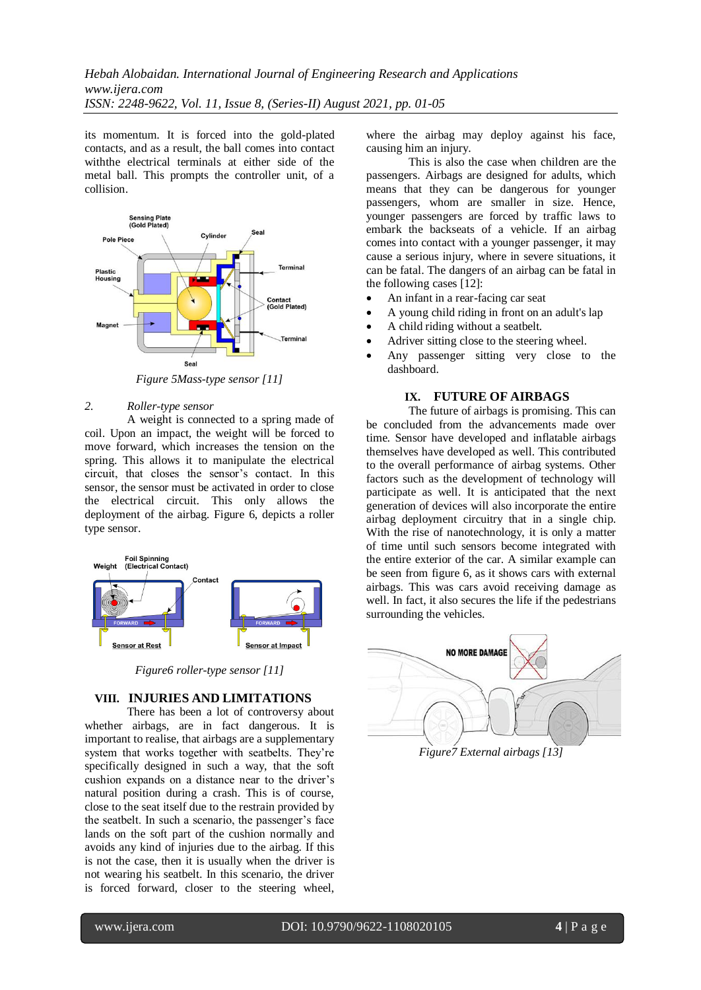its momentum. It is forced into the gold-plated contacts, and as a result, the ball comes into contact withthe electrical terminals at either side of the metal ball. This prompts the controller unit, of a collision.



*Figure 5Mass-type sensor [11]*

#### *2. Roller-type sensor*

A weight is connected to a spring made of coil. Upon an impact, the weight will be forced to move forward, which increases the tension on the spring. This allows it to manipulate the electrical circuit, that closes the sensor's contact. In this sensor, the sensor must be activated in order to close the electrical circuit. This only allows the deployment of the airbag. Figure 6, depicts a roller type sensor.



*Figure6 roller-type sensor [11]*

### **VIII. INJURIES AND LIMITATIONS**

There has been a lot of controversy about whether airbags, are in fact dangerous. It is important to realise, that airbags are a supplementary system that works together with seatbelts. They're specifically designed in such a way, that the soft cushion expands on a distance near to the driver's natural position during a crash. This is of course, close to the seat itself due to the restrain provided by the seatbelt. In such a scenario, the passenger's face lands on the soft part of the cushion normally and avoids any kind of injuries due to the airbag. If this is not the case, then it is usually when the driver is not wearing his seatbelt. In this scenario, the driver is forced forward, closer to the steering wheel, where the airbag may deploy against his face, causing him an injury.

This is also the case when children are the passengers. Airbags are designed for adults, which means that they can be dangerous for younger passengers, whom are smaller in size. Hence, younger passengers are forced by traffic laws to embark the backseats of a vehicle. If an airbag comes into contact with a younger passenger, it may cause a serious injury, where in severe situations, it can be fatal. The dangers of an airbag can be fatal in the following cases [12]:

- An infant in a rear-facing car seat
- A young child riding in front on an adult's lap
- A child riding without a seatbelt.
- Adriver sitting close to the steering wheel.
- Any passenger sitting very close to the dashboard.

## **IX. FUTURE OF AIRBAGS**

The future of airbags is promising. This can be concluded from the advancements made over time. Sensor have developed and inflatable airbags themselves have developed as well. This contributed to the overall performance of airbag systems. Other factors such as the development of technology will participate as well. It is anticipated that the next generation of devices will also incorporate the entire airbag deployment circuitry that in a single chip. With the rise of nanotechnology, it is only a matter of time until such sensors become integrated with the entire exterior of the car. A similar example can be seen from figure 6, as it shows cars with external airbags. This was cars avoid receiving damage as well. In fact, it also secures the life if the pedestrians surrounding the vehicles.



*Figure7 External airbags [13]*